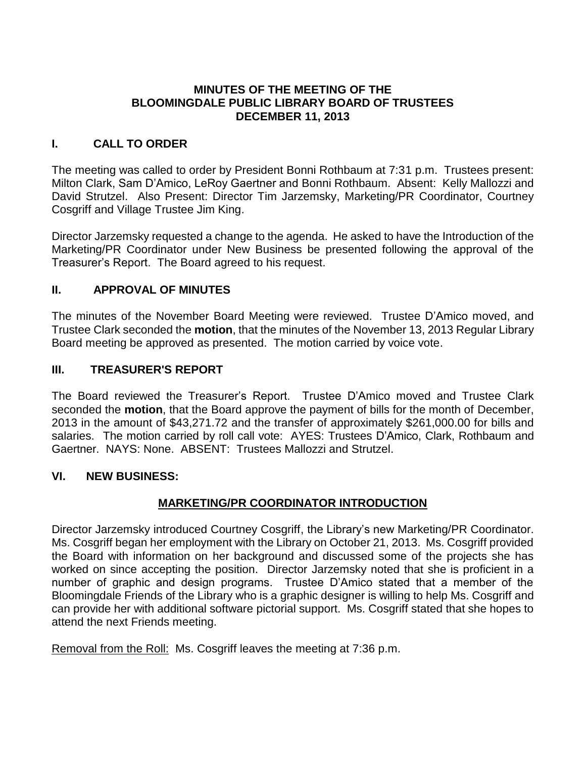### **MINUTES OF THE MEETING OF THE BLOOMINGDALE PUBLIC LIBRARY BOARD OF TRUSTEES DECEMBER 11, 2013**

# **I. CALL TO ORDER**

The meeting was called to order by President Bonni Rothbaum at 7:31 p.m. Trustees present: Milton Clark, Sam D'Amico, LeRoy Gaertner and Bonni Rothbaum. Absent: Kelly Mallozzi and David Strutzel. Also Present: Director Tim Jarzemsky, Marketing/PR Coordinator, Courtney Cosgriff and Village Trustee Jim King.

Director Jarzemsky requested a change to the agenda. He asked to have the Introduction of the Marketing/PR Coordinator under New Business be presented following the approval of the Treasurer's Report. The Board agreed to his request.

# **II. APPROVAL OF MINUTES**

The minutes of the November Board Meeting were reviewed. Trustee D'Amico moved, and Trustee Clark seconded the **motion**, that the minutes of the November 13, 2013 Regular Library Board meeting be approved as presented. The motion carried by voice vote.

#### **III. TREASURER'S REPORT**

The Board reviewed the Treasurer's Report. Trustee D'Amico moved and Trustee Clark seconded the **motion**, that the Board approve the payment of bills for the month of December, 2013 in the amount of \$43,271.72 and the transfer of approximately \$261,000.00 for bills and salaries. The motion carried by roll call vote: AYES: Trustees D'Amico, Clark, Rothbaum and Gaertner. NAYS: None. ABSENT: Trustees Mallozzi and Strutzel.

#### **VI. NEW BUSINESS:**

# **MARKETING/PR COORDINATOR INTRODUCTION**

Director Jarzemsky introduced Courtney Cosgriff, the Library's new Marketing/PR Coordinator. Ms. Cosgriff began her employment with the Library on October 21, 2013. Ms. Cosgriff provided the Board with information on her background and discussed some of the projects she has worked on since accepting the position. Director Jarzemsky noted that she is proficient in a number of graphic and design programs. Trustee D'Amico stated that a member of the Bloomingdale Friends of the Library who is a graphic designer is willing to help Ms. Cosgriff and can provide her with additional software pictorial support. Ms. Cosgriff stated that she hopes to attend the next Friends meeting.

Removal from the Roll: Ms. Cosgriff leaves the meeting at 7:36 p.m.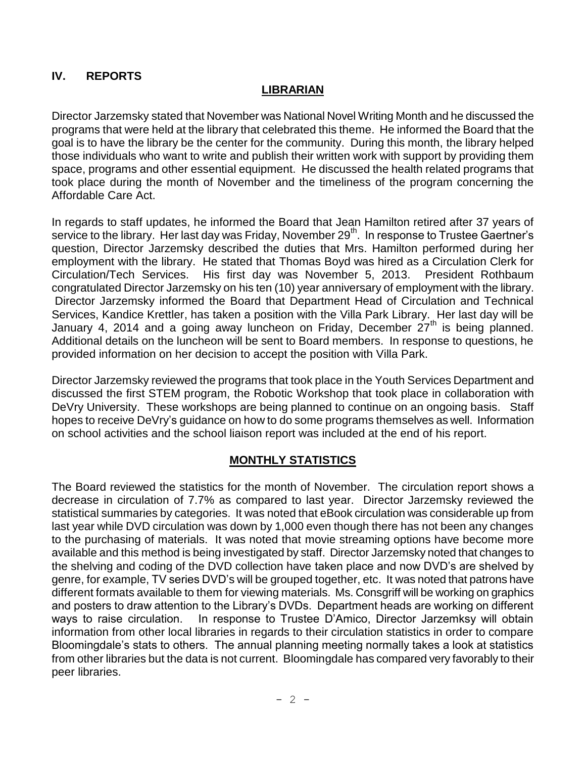# **IV. REPORTS**

### **LIBRARIAN**

Director Jarzemsky stated that November was National Novel Writing Month and he discussed the programs that were held at the library that celebrated this theme. He informed the Board that the goal is to have the library be the center for the community. During this month, the library helped those individuals who want to write and publish their written work with support by providing them space, programs and other essential equipment. He discussed the health related programs that took place during the month of November and the timeliness of the program concerning the Affordable Care Act.

In regards to staff updates, he informed the Board that Jean Hamilton retired after 37 years of service to the library. Her last day was Friday, November 29<sup>th</sup>. In response to Trustee Gaertner's question, Director Jarzemsky described the duties that Mrs. Hamilton performed during her employment with the library. He stated that Thomas Boyd was hired as a Circulation Clerk for Circulation/Tech Services. His first day was November 5, 2013. President Rothbaum congratulated Director Jarzemsky on his ten (10) year anniversary of employment with the library. Director Jarzemsky informed the Board that Department Head of Circulation and Technical Services, Kandice Krettler, has taken a position with the Villa Park Library. Her last day will be January 4, 2014 and a going away luncheon on Friday, December  $27<sup>th</sup>$  is being planned. Additional details on the luncheon will be sent to Board members. In response to questions, he provided information on her decision to accept the position with Villa Park.

Director Jarzemsky reviewed the programs that took place in the Youth Services Department and discussed the first STEM program, the Robotic Workshop that took place in collaboration with DeVry University. These workshops are being planned to continue on an ongoing basis. Staff hopes to receive DeVry's guidance on how to do some programs themselves as well. Information on school activities and the school liaison report was included at the end of his report.

#### **MONTHLY STATISTICS**

The Board reviewed the statistics for the month of November. The circulation report shows a decrease in circulation of 7.7% as compared to last year. Director Jarzemsky reviewed the statistical summaries by categories. It was noted that eBook circulation was considerable up from last year while DVD circulation was down by 1,000 even though there has not been any changes to the purchasing of materials. It was noted that movie streaming options have become more available and this method is being investigated by staff. Director Jarzemsky noted that changes to the shelving and coding of the DVD collection have taken place and now DVD's are shelved by genre, for example, TV series DVD's will be grouped together, etc. It was noted that patrons have different formats available to them for viewing materials. Ms. Consgriff will be working on graphics and posters to draw attention to the Library's DVDs. Department heads are working on different ways to raise circulation. In response to Trustee D'Amico, Director Jarzemksy will obtain information from other local libraries in regards to their circulation statistics in order to compare Bloomingdale's stats to others. The annual planning meeting normally takes a look at statistics from other libraries but the data is not current. Bloomingdale has compared very favorably to their peer libraries.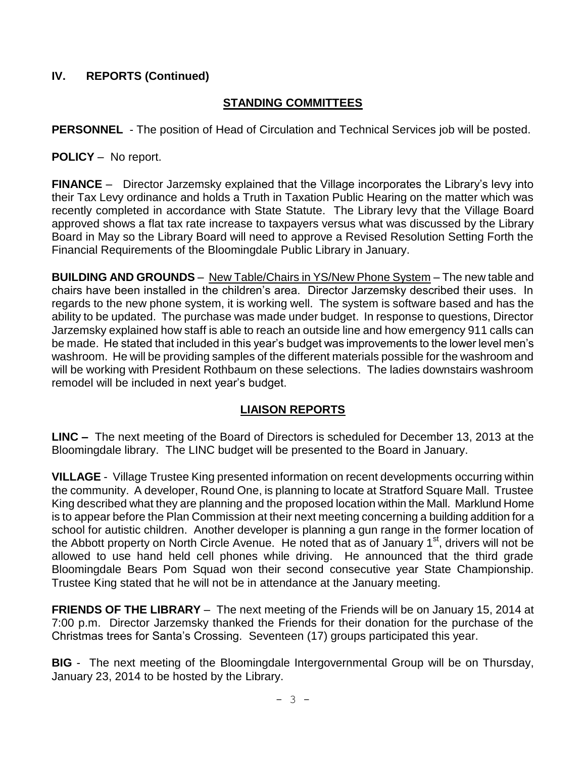# **IV. REPORTS (Continued)**

# **STANDING COMMITTEES**

**PERSONNEL** - The position of Head of Circulation and Technical Services job will be posted.

**POLICY** – No report.

**FINANCE** – Director Jarzemsky explained that the Village incorporates the Library's levy into their Tax Levy ordinance and holds a Truth in Taxation Public Hearing on the matter which was recently completed in accordance with State Statute. The Library levy that the Village Board approved shows a flat tax rate increase to taxpayers versus what was discussed by the Library Board in May so the Library Board will need to approve a Revised Resolution Setting Forth the Financial Requirements of the Bloomingdale Public Library in January.

**BUILDING AND GROUNDS** – New Table/Chairs in YS/New Phone System – The new table and chairs have been installed in the children's area. Director Jarzemsky described their uses. In regards to the new phone system, it is working well. The system is software based and has the ability to be updated. The purchase was made under budget. In response to questions, Director Jarzemsky explained how staff is able to reach an outside line and how emergency 911 calls can be made. He stated that included in this year's budget was improvements to the lower level men's washroom. He will be providing samples of the different materials possible for the washroom and will be working with President Rothbaum on these selections. The ladies downstairs washroom remodel will be included in next year's budget.

# **LIAISON REPORTS**

**LINC –** The next meeting of the Board of Directors is scheduled for December 13, 2013 at the Bloomingdale library. The LINC budget will be presented to the Board in January.

**VILLAGE** - Village Trustee King presented information on recent developments occurring within the community. A developer, Round One, is planning to locate at Stratford Square Mall. Trustee King described what they are planning and the proposed location within the Mall. Marklund Home is to appear before the Plan Commission at their next meeting concerning a building addition for a school for autistic children. Another developer is planning a gun range in the former location of the Abbott property on North Circle Avenue. He noted that as of January  $1<sup>st</sup>$ , drivers will not be allowed to use hand held cell phones while driving. He announced that the third grade Bloomingdale Bears Pom Squad won their second consecutive year State Championship. Trustee King stated that he will not be in attendance at the January meeting.

**FRIENDS OF THE LIBRARY** – The next meeting of the Friends will be on January 15, 2014 at 7:00 p.m. Director Jarzemsky thanked the Friends for their donation for the purchase of the Christmas trees for Santa's Crossing. Seventeen (17) groups participated this year.

**BIG** - The next meeting of the Bloomingdale Intergovernmental Group will be on Thursday, January 23, 2014 to be hosted by the Library.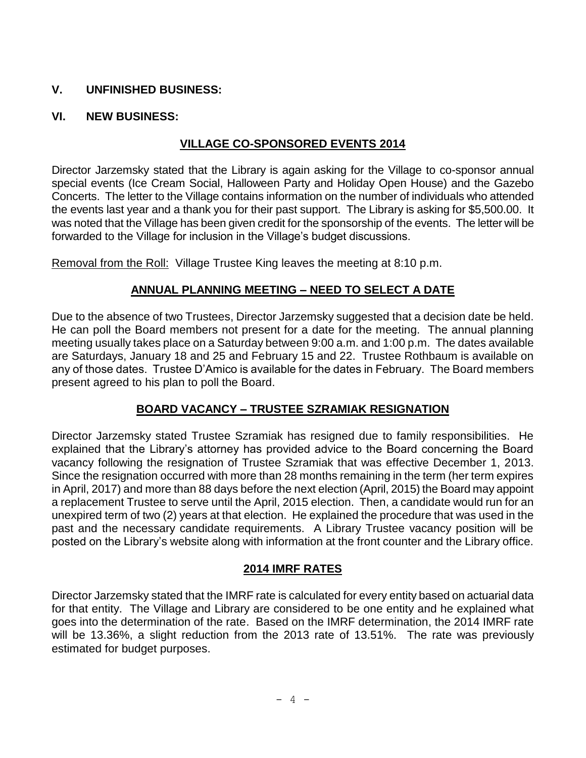# **V. UNFINISHED BUSINESS:**

### **VI. NEW BUSINESS:**

# **VILLAGE CO-SPONSORED EVENTS 2014**

Director Jarzemsky stated that the Library is again asking for the Village to co-sponsor annual special events (Ice Cream Social, Halloween Party and Holiday Open House) and the Gazebo Concerts. The letter to the Village contains information on the number of individuals who attended the events last year and a thank you for their past support. The Library is asking for \$5,500.00. It was noted that the Village has been given credit for the sponsorship of the events. The letter will be forwarded to the Village for inclusion in the Village's budget discussions.

Removal from the Roll: Village Trustee King leaves the meeting at 8:10 p.m.

### **ANNUAL PLANNING MEETING – NEED TO SELECT A DATE**

Due to the absence of two Trustees, Director Jarzemsky suggested that a decision date be held. He can poll the Board members not present for a date for the meeting. The annual planning meeting usually takes place on a Saturday between 9:00 a.m. and 1:00 p.m. The dates available are Saturdays, January 18 and 25 and February 15 and 22. Trustee Rothbaum is available on any of those dates. Trustee D'Amico is available for the dates in February. The Board members present agreed to his plan to poll the Board.

# **BOARD VACANCY – TRUSTEE SZRAMIAK RESIGNATION**

Director Jarzemsky stated Trustee Szramiak has resigned due to family responsibilities. He explained that the Library's attorney has provided advice to the Board concerning the Board vacancy following the resignation of Trustee Szramiak that was effective December 1, 2013. Since the resignation occurred with more than 28 months remaining in the term (her term expires in April, 2017) and more than 88 days before the next election (April, 2015) the Board may appoint a replacement Trustee to serve until the April, 2015 election. Then, a candidate would run for an unexpired term of two (2) years at that election. He explained the procedure that was used in the past and the necessary candidate requirements. A Library Trustee vacancy position will be posted on the Library's website along with information at the front counter and the Library office.

#### **2014 IMRF RATES**

Director Jarzemsky stated that the IMRF rate is calculated for every entity based on actuarial data for that entity. The Village and Library are considered to be one entity and he explained what goes into the determination of the rate. Based on the IMRF determination, the 2014 IMRF rate will be 13.36%, a slight reduction from the 2013 rate of 13.51%. The rate was previously estimated for budget purposes.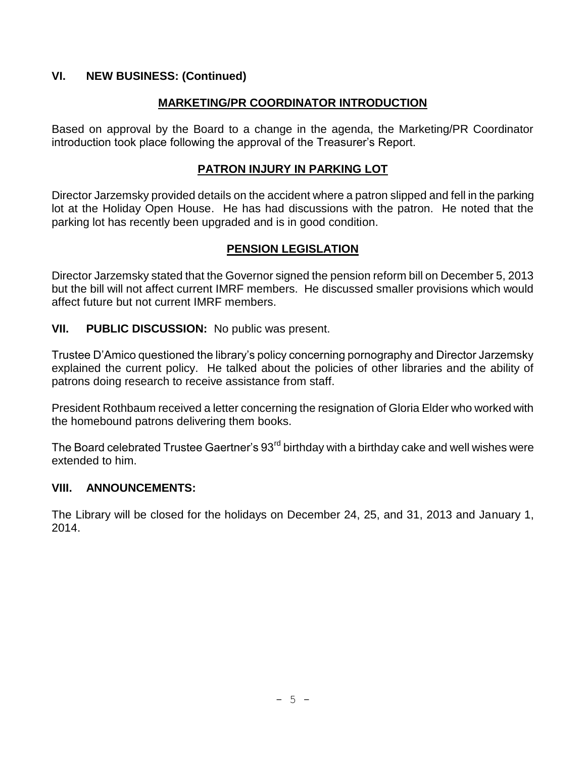# **VI. NEW BUSINESS: (Continued)**

# **MARKETING/PR COORDINATOR INTRODUCTION**

Based on approval by the Board to a change in the agenda, the Marketing/PR Coordinator introduction took place following the approval of the Treasurer's Report.

# **PATRON INJURY IN PARKING LOT**

Director Jarzemsky provided details on the accident where a patron slipped and fell in the parking lot at the Holiday Open House. He has had discussions with the patron. He noted that the parking lot has recently been upgraded and is in good condition.

# **PENSION LEGISLATION**

Director Jarzemsky stated that the Governor signed the pension reform bill on December 5, 2013 but the bill will not affect current IMRF members. He discussed smaller provisions which would affect future but not current IMRF members.

### **VII. PUBLIC DISCUSSION:** No public was present.

Trustee D'Amico questioned the library's policy concerning pornography and Director Jarzemsky explained the current policy. He talked about the policies of other libraries and the ability of patrons doing research to receive assistance from staff.

President Rothbaum received a letter concerning the resignation of Gloria Elder who worked with the homebound patrons delivering them books.

The Board celebrated Trustee Gaertner's 93<sup>rd</sup> birthday with a birthday cake and well wishes were extended to him.

#### **VIII. ANNOUNCEMENTS:**

The Library will be closed for the holidays on December 24, 25, and 31, 2013 and January 1, 2014.